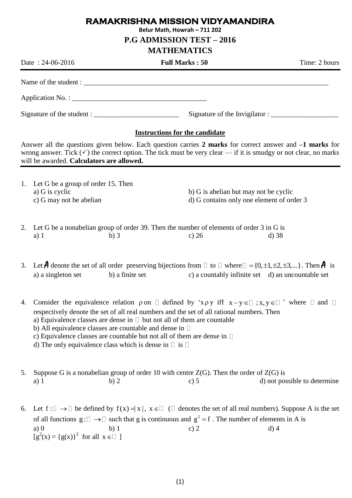## **RAMAKRISHNA MISSION VIDYAMANDIRA**

**Belur Math, Howrah – 711 202**

**P.G ADMISSION TEST – 2016**

## **MATHEMATICS**

Date : 24-06-2016 **Full Marks : 50** Time: 2 hours Name of the student : Application No. : \_\_\_\_\_\_\_\_\_\_\_\_\_\_\_\_\_\_\_\_\_\_\_\_\_\_\_\_\_\_\_\_\_\_\_\_\_\_ Signature of the student : \_\_\_\_\_\_\_\_\_\_\_\_\_\_\_\_\_\_\_\_\_\_\_\_ Signature of the Invigilator : \_\_\_\_\_\_\_\_\_\_\_\_\_\_\_\_\_\_\_ **Instructions for the candidate** Answer all the questions given below. Each question carries **2 marks** for correct answer and **–1 marks** for wrong answer. Tick  $(\checkmark)$  the correct option. The tick must be very clear — if it is smudgy or not clear, no marks will be awarded. **Calculators are allowed.** 1. Let G be a group of order 15. Then a) G is cyclic b) G is abelian but may not be cyclic c) G may not be abelian d) G contains only one element of order 3 2. Let G be a nonabelian group of order 39. Then the number of elements of order 3 in G is a) 1 b) 3 c) 26 d) 38 3. Let  $\hat{A}$  denote the set of all order preserving bijections from  $\Box$  to  $\Box$  where  $\Box$  = {0, ±1, ±2, ±3,...}. Then  $\hat{A}$  is a) a singleton set b) a finite set c) a countably infinite set d) an uncountable set 4. Consider the equivalence relation  $\rho$  on  $\Box$  defined by 'x  $\rho$  y iff  $x-y \in \Box$ ;  $x, y \in \Box$  ' where  $\Box$  and respectively denote the set of all real numbers and the set of all rational numbers. Then a) Equivalence classes are dense in  $\Box$  but not all of them are countable b) All equivalence classes are countable and dense in  $\Box$ c) Equivalence classes are countable but not all of them are dense in d) The only equivalence class which is dense in  $\Box$  is  $\Box$ 5. Suppose G is a nonabelian group of order 10 with centre  $Z(G)$ . Then the order of  $Z(G)$  is a) 1 b) 2 c) 5 d) not possible to determine 6. Let  $f: \Box \to \Box$  be defined by  $f(x) = |x|, x \in \Box$  ( $\Box$  denotes the set of all real numbers). Suppose A is the set of all functions  $g: \Box \to \Box$  such that g is continuous and  $g^2 = f$ . The number of elements in A is a) 0 b) 1 c) 2 d) 4  $[g^{2}(x) = {g(x)}^{2}$  for all  $x \in \square$  ]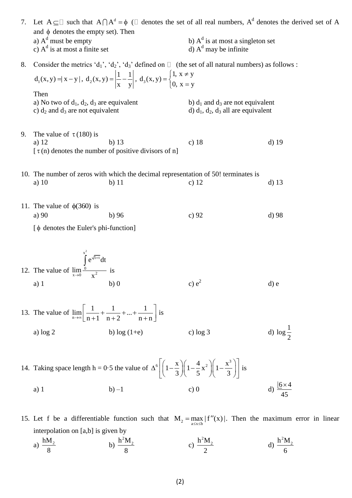|    | 7. Let $A \subseteq \Box$ such that $A \cap A^d = \phi$ ( $\Box$ denotes the set of all real numbers, $A^d$ denotes the derived set of A<br>and $\phi$ denotes the empty set). Then |                                                                                               |                                                                                      |                       |
|----|-------------------------------------------------------------------------------------------------------------------------------------------------------------------------------------|-----------------------------------------------------------------------------------------------|--------------------------------------------------------------------------------------|-----------------------|
|    | a) $A^d$ must be empty<br>c) $Ad$ is at most a finite set                                                                                                                           |                                                                                               | b) $Ad$ is at most a singleton set<br>d) $Ad$ may be infinite                        |                       |
| 8. | Consider the metrics 'd <sub>1</sub> ', 'd <sub>2</sub> ', 'd <sub>3</sub> ' defined on $\Box$ (the set of all natural numbers) as follows :                                        |                                                                                               |                                                                                      |                       |
|    | $d_1(x, y) =  x - y , d_2(x, y) = \left  \frac{1}{x} - \frac{1}{y} \right , d_3(x, y) = \begin{cases} 1, x \neq y \\ 0, x = y \end{cases}$                                          |                                                                                               |                                                                                      |                       |
|    | Then<br>a) No two of $d_1$ , $d_2$ , $d_3$ are equivalent<br>c) $d_2$ and $d_3$ are not equivalent                                                                                  |                                                                                               | b) $d_1$ and $d_3$ are not equivalent<br>d) $d_1$ , $d_2$ , $d_3$ all are equivalent |                       |
| 9. | The value of $\tau$ (180) is<br>a) 12                                                                                                                                               | $b)$ 13<br>$[\tau(n)]$ denotes the number of positive divisors of n                           | c) $18$                                                                              | $d)$ 19               |
|    |                                                                                                                                                                                     |                                                                                               |                                                                                      |                       |
|    | a) $10$                                                                                                                                                                             | 10. The number of zeros with which the decimal representation of 50! terminates is<br>$b)$ 11 | c) $12$                                                                              | $d)$ 13               |
|    | 11. The value of $\phi(360)$ is                                                                                                                                                     |                                                                                               |                                                                                      |                       |
|    | a) $90$<br>$\phi$ denotes the Euler's phi-function]                                                                                                                                 | b)96                                                                                          | c) $92$                                                                              | $d$ ) 98              |
|    |                                                                                                                                                                                     |                                                                                               |                                                                                      |                       |
|    | 12. The value of $\lim_{x\to 0} \frac{\int_{0}^{x^2} e^{\sqrt{1+t}} dt}{x^2}$ is                                                                                                    |                                                                                               |                                                                                      |                       |
|    |                                                                                                                                                                                     |                                                                                               |                                                                                      |                       |
|    | $a)$ 1                                                                                                                                                                              | b)0                                                                                           | c) $e^2$                                                                             | $d$ ) e               |
|    | 13. The value of $\lim_{n \to \infty} \left  \frac{1}{n+1} + \frac{1}{n+2} +  + \frac{1}{n+n} \right $ is                                                                           |                                                                                               |                                                                                      |                       |
|    | a) $log 2$                                                                                                                                                                          | b) $log(1+e)$                                                                                 | c) $log 3$                                                                           | d) $\log \frac{1}{2}$ |
|    | 14. Taking space length h = 0.5 the value of $\Delta^6 \left[ \left( 1 - \frac{x}{3} \right) \left( 1 - \frac{4}{5} x^2 \right) \left( 1 - \frac{x^3}{3} \right) \right]$ is        |                                                                                               |                                                                                      |                       |
|    |                                                                                                                                                                                     |                                                                                               |                                                                                      | $6 \times 4$          |

15. Let f be a differentiable function such that  $M_2 = \max_{a \le x \le b} |f''(x)|$ . Then the maximum error in linear interpolation on [a,b] is given by

45

a) 
$$
\frac{hM_2}{8}
$$
 b)  $\frac{h^2M_2}{8}$  c)  $\frac{h^2M_2}{2}$  d)  $\frac{h^2M_2}{6}$ 

a) 1 b) –1 c) 0 d)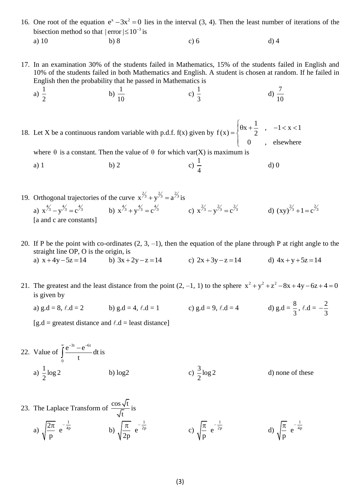16. One root of the equation  $e^x - 3x^2 = 0$  lies in the interval (3, 4). Then the least number of iterations of the bisection method so that  $|error| \le 10^{-3}$  is a) 10 b) 8 c) 6 d) 4

17. In an examination 30% of the students failed in Mathematics, 15% of the students failed in English and 10% of the students failed in both Mathematics and English. A student is chosen at random. If he failed in English then the probability that he passed in Mathematics is

a) 
$$
\frac{1}{2}
$$
 b)  $\frac{1}{10}$  c)  $\frac{1}{3}$  d)  $\frac{7}{10}$ 

18. Let X be a continuous random variable with p.d.f.  $f(x)$  given by  $x + \frac{1}{2}$ ,  $-1 < x < 1$  $f(x) = \begin{cases} \theta x + \frac{1}{2} \end{cases}$  $0^{2}$ , elsewhere  $\int \theta x + \frac{1}{2}$ ,  $-1 < x < 1$  $=\{$  $\overline{\mathcal{L}}$ 

where  $\theta$  is a constant. Then the value of  $\theta$  for which var(X) is maximum is

- a) 1 b) 2 c) 1 4 d) 0
- 19. Orthogonal trajectories of the curve  $x^{2/3} + y^{2/3} = a^{2/3}$  is a)  $x^{\frac{4}{3}} - y^{\frac{4}{3}} = c^{\frac{4}{3}}$ b)  $x^{\frac{4}{3}} + y^{\frac{4}{3}} = c^{\frac{4}{3}}$  c)  $x^{\frac{2}{3}} - y^{\frac{2}{3}} = c^{\frac{2}{3}}$  d)  $(xy)^{\frac{2}{3}} + 1 = c^{\frac{2}{3}}$ [a and c are constants]
- 20. If P be the point with co-ordinates  $(2, 3, -1)$ , then the equation of the plane through P at right angle to the straight line OP, O is the origin, is a)  $x + 4y - 5z = 14$ b)  $3x + 2y - z = 14$  c)  $2x + 3y - z = 14$  d)  $4x + y + 5z = 14$
- 21. The greatest and the least distance from the point  $(2, -1, 1)$  to the sphere  $x^2 + y^2 + z^2 8x + 4y 6z + 4 = 0$ is given by
	- a) g.d = 8,  $\ell$ .d = 2 b) g.d = 4,  $\ell$ .d = 1 c) g.d = 9,  $\ell$ .d = 4 d) g.d =  $\frac{8}{3}$ 3 ,  $\ell \cdot d = -\frac{2}{3}$ 3  $\overline{a}$

 $[g.d = \text{greatest distance and } l.d = \text{least distance}]$ 

22. Value of 
$$
\int_{0}^{\infty} \frac{e^{-3t} - e^{-6t}}{t} dt
$$
 is  
a)  $\frac{1}{2} \log 2$  b)  $\log 2$  c)  $\frac{3}{2} \log 2$  d) none of these

23. The Laplace Transform of 
$$
\frac{\cos \sqrt{t}}{\sqrt{t}}
$$
 is  
\na)  $\sqrt{\frac{2\pi}{p}} e^{-\frac{1}{4p}}$  \nb)  $\sqrt{\frac{\pi}{2p}} e^{-\frac{1}{2p}}$  \nc)  $\sqrt{\frac{\pi}{p}} e^{-\frac{1}{2p}}$  \nd)  $\sqrt{\frac{\pi}{p}} e^{-\frac{1}{4p}}$